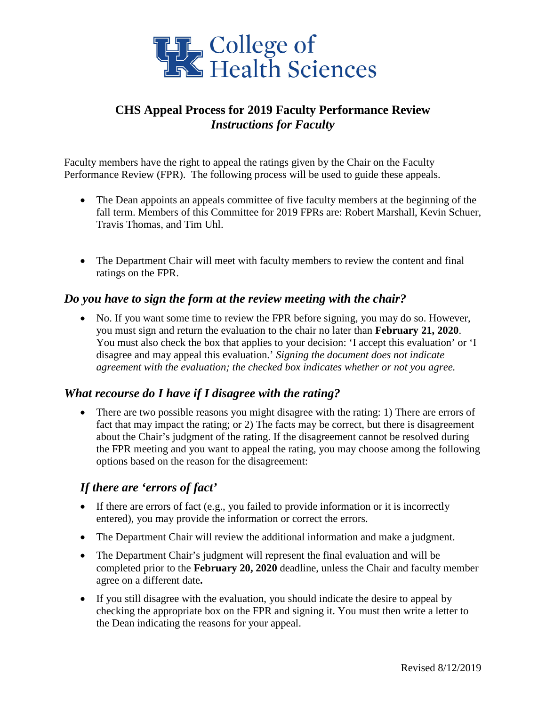

# **CHS Appeal Process for 2019 Faculty Performance Review** *Instructions for Faculty*

Faculty members have the right to appeal the ratings given by the Chair on the Faculty Performance Review (FPR). The following process will be used to guide these appeals.

- The Dean appoints an appeals committee of five faculty members at the beginning of the fall term. Members of this Committee for 2019 FPRs are: Robert Marshall, Kevin Schuer, Travis Thomas, and Tim Uhl.
- The Department Chair will meet with faculty members to review the content and final ratings on the FPR.

#### *Do you have to sign the form at the review meeting with the chair?*

• No. If you want some time to review the FPR before signing, you may do so. However, you must sign and return the evaluation to the chair no later than **February 21, 2020**. You must also check the box that applies to your decision: 'I accept this evaluation' or 'I disagree and may appeal this evaluation.' *Signing the document does not indicate agreement with the evaluation; the checked box indicates whether or not you agree.*

#### *What recourse do I have if I disagree with the rating?*

• There are two possible reasons you might disagree with the rating: 1) There are errors of fact that may impact the rating; or 2) The facts may be correct, but there is disagreement about the Chair's judgment of the rating. If the disagreement cannot be resolved during the FPR meeting and you want to appeal the rating, you may choose among the following options based on the reason for the disagreement:

# *If there are 'errors of fact'*

- If there are errors of fact (e.g., you failed to provide information or it is incorrectly entered), you may provide the information or correct the errors.
- The Department Chair will review the additional information and make a judgment.
- The Department Chair's judgment will represent the final evaluation and will be completed prior to the **February 20, 2020** deadline, unless the Chair and faculty member agree on a different date**.**
- If you still disagree with the evaluation, you should indicate the desire to appeal by checking the appropriate box on the FPR and signing it. You must then write a letter to the Dean indicating the reasons for your appeal.